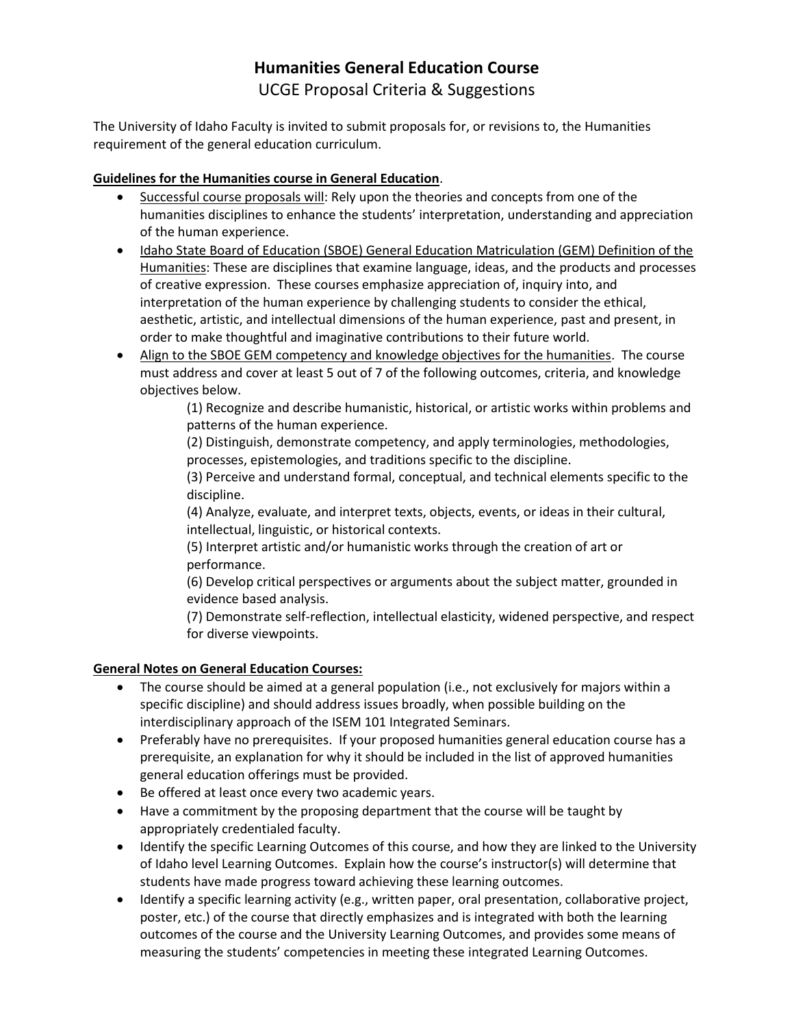# **Humanities General Education Course** UCGE Proposal Criteria & Suggestions

The University of Idaho Faculty is invited to submit proposals for, or revisions to, the Humanities requirement of the general education curriculum.

## **Guidelines for the Humanities course in General Education**.

- Successful course proposals will: Rely upon the theories and concepts from one of the humanities disciplines to enhance the students' interpretation, understanding and appreciation of the human experience.
- Idaho State Board of Education (SBOE) General Education Matriculation (GEM) Definition of the Humanities: These are disciplines that examine language, ideas, and the products and processes of creative expression. These courses emphasize appreciation of, inquiry into, and interpretation of the human experience by challenging students to consider the ethical, aesthetic, artistic, and intellectual dimensions of the human experience, past and present, in order to make thoughtful and imaginative contributions to their future world.
- Align to the SBOE GEM competency and knowledge objectives for the humanities. The course must address and cover at least 5 out of 7 of the following outcomes, criteria, and knowledge objectives below.

(1) Recognize and describe humanistic, historical, or artistic works within problems and patterns of the human experience.

(2) Distinguish, demonstrate competency, and apply terminologies, methodologies, processes, epistemologies, and traditions specific to the discipline.

(3) Perceive and understand formal, conceptual, and technical elements specific to the discipline.

(4) Analyze, evaluate, and interpret texts, objects, events, or ideas in their cultural, intellectual, linguistic, or historical contexts.

(5) Interpret artistic and/or humanistic works through the creation of art or performance.

(6) Develop critical perspectives or arguments about the subject matter, grounded in evidence based analysis.

(7) Demonstrate self-reflection, intellectual elasticity, widened perspective, and respect for diverse viewpoints.

## **General Notes on General Education Courses:**

- The course should be aimed at a general population (i.e., not exclusively for majors within a specific discipline) and should address issues broadly, when possible building on the interdisciplinary approach of the ISEM 101 Integrated Seminars.
- Preferably have no prerequisites. If your proposed humanities general education course has a prerequisite, an explanation for why it should be included in the list of approved humanities general education offerings must be provided.
- Be offered at least once every two academic years.
- Have a commitment by the proposing department that the course will be taught by appropriately credentialed faculty.
- Identify the specific Learning Outcomes of this course, and how they are linked to the University of Idaho level Learning Outcomes. Explain how the course's instructor(s) will determine that students have made progress toward achieving these learning outcomes.
- Identify a specific learning activity (e.g., written paper, oral presentation, collaborative project, poster, etc.) of the course that directly emphasizes and is integrated with both the learning outcomes of the course and the University Learning Outcomes, and provides some means of measuring the students' competencies in meeting these integrated Learning Outcomes.